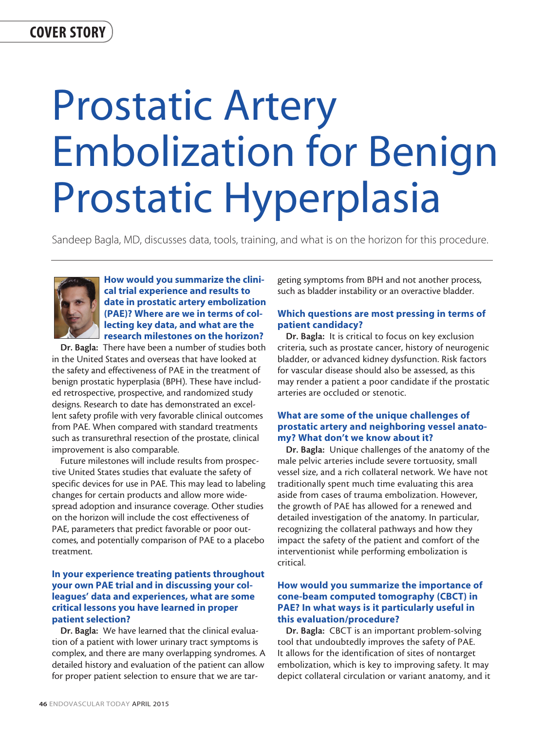# Prostatic Artery Embolization for Benign Prostatic Hyperplasia

Sandeep Bagla, MD, discusses data, tools, training, and what is on the horizon for this procedure.



How would you summarize the clinical trial experience and results to date in prostatic artery embolization (PAE)? Where are we in terms of collecting key data, and what are the research milestones on the horizon?

Dr. Bagla: There have been a number of studies both in the United States and overseas that have looked at the safety and effectiveness of PAE in the treatment of benign prostatic hyperplasia (BPH). These have included retrospective, prospective, and randomized study designs. Research to date has demonstrated an excellent safety profile with very favorable clinical outcomes from PAE. When compared with standard treatments such as transurethral resection of the prostate, clinical improvement is also comparable.

Future milestones will include results from prospective United States studies that evaluate the safety of specific devices for use in PAE. This may lead to labeling changes for certain products and allow more widespread adoption and insurance coverage. Other studies on the horizon will include the cost effectiveness of PAE, parameters that predict favorable or poor outcomes, and potentially comparison of PAE to a placebo treatment.

# In your experience treating patients throughout your own PAE trial and in discussing your colleagues' data and experiences, what are some critical lessons you have learned in proper patient selection?

Dr. Bagla: We have learned that the clinical evaluation of a patient with lower urinary tract symptoms is complex, and there are many overlapping syndromes. A detailed history and evaluation of the patient can allow for proper patient selection to ensure that we are targeting symptoms from BPH and not another process, such as bladder instability or an overactive bladder.

# Which questions are most pressing in terms of patient candidacy?

Dr. Bagla: It is critical to focus on key exclusion criteria, such as prostate cancer, history of neurogenic bladder, or advanced kidney dysfunction. Risk factors for vascular disease should also be assessed, as this may render a patient a poor candidate if the prostatic arteries are occluded or stenotic.

# What are some of the unique challenges of prostatic artery and neighboring vessel anatomy? What don't we know about it?

Dr. Bagla: Unique challenges of the anatomy of the male pelvic arteries include severe tortuosity, small vessel size, and a rich collateral network. We have not traditionally spent much time evaluating this area aside from cases of trauma embolization. However, the growth of PAE has allowed for a renewed and detailed investigation of the anatomy. In particular, recognizing the collateral pathways and how they impact the safety of the patient and comfort of the interventionist while performing embolization is critical.

# How would you summarize the importance of cone-beam computed tomography (CBCT) in PAE? In what ways is it particularly useful in this evaluation/procedure?

Dr. Bagla: CBCT is an important problem-solving tool that undoubtedly improves the safety of PAE. It allows for the identification of sites of nontarget embolization, which is key to improving safety. It may depict collateral circulation or variant anatomy, and it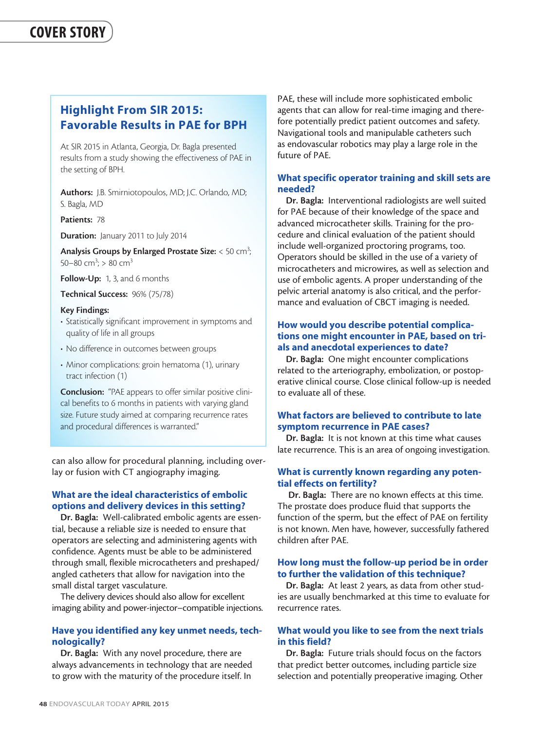# Highlight From SIR 2015: Favorable Results in PAE for BPH

At SIR 2015 in Atlanta, Georgia, Dr. Bagla presented results from a study showing the effectiveness of PAE in the setting of BPH.

Authors: J.B. Smirniotopoulos, MD; J.C. Orlando, MD; S. Bagla, MD

Patients: 78

Duration: January 2011 to July 2014

Analysis Groups by Enlarged Prostate Size:  $<$  50 cm<sup>3</sup>; 50–80 cm<sup>3</sup>; > 80 cm<sup>3</sup>

Follow-Up: 1, 3, and 6 months

Technical Success: 96% (75/78)

#### Key Findings:

- Statistically significant improvement in symptoms and quality of life in all groups
- No difference in outcomes between groups
- Minor complications: groin hematoma (1), urinary tract infection (1)

Conclusion: "PAE appears to offer similar positive clinical benefits to 6 months in patients with varying gland size. Future study aimed at comparing recurrence rates and procedural differences is warranted."

can also allow for procedural planning, including overlay or fusion with CT angiography imaging.

# What are the ideal characteristics of embolic options and delivery devices in this setting?

Dr. Bagla: Well-calibrated embolic agents are essential, because a reliable size is needed to ensure that operators are selecting and administering agents with confidence. Agents must be able to be administered through small, flexible microcatheters and preshaped/ angled catheters that allow for navigation into the small distal target vasculature.

The delivery devices should also allow for excellent imaging ability and power-injector–compatible injections.

# Have you identified any key unmet needs, technologically?

Dr. Bagla: With any novel procedure, there are always advancements in technology that are needed to grow with the maturity of the procedure itself. In

PAE, these will include more sophisticated embolic agents that can allow for real-time imaging and therefore potentially predict patient outcomes and safety. Navigational tools and manipulable catheters such as endovascular robotics may play a large role in the future of PAE.

# What specific operator training and skill sets are needed?

Dr. Bagla: Interventional radiologists are well suited for PAE because of their knowledge of the space and advanced microcatheter skills. Training for the procedure and clinical evaluation of the patient should include well-organized proctoring programs, too. Operators should be skilled in the use of a variety of microcatheters and microwires, as well as selection and use of embolic agents. A proper understanding of the pelvic arterial anatomy is also critical, and the performance and evaluation of CBCT imaging is needed.

# How would you describe potential complications one might encounter in PAE, based on trials and anecdotal experiences to date?

Dr. Bagla: One might encounter complications related to the arteriography, embolization, or postoperative clinical course. Close clinical follow-up is needed to evaluate all of these.

# What factors are believed to contribute to late symptom recurrence in PAE cases?

Dr. Bagla: It is not known at this time what causes late recurrence. This is an area of ongoing investigation.

# What is currently known regarding any potential effects on fertility?

Dr. Bagla: There are no known effects at this time. The prostate does produce fluid that supports the function of the sperm, but the effect of PAE on fertility is not known. Men have, however, successfully fathered children after PAE.

#### How long must the follow-up period be in order to further the validation of this technique?

Dr. Bagla: At least 2 years, as data from other studies are usually benchmarked at this time to evaluate for recurrence rates.

# What would you like to see from the next trials in this field?

Dr. Bagla: Future trials should focus on the factors that predict better outcomes, including particle size selection and potentially preoperative imaging. Other